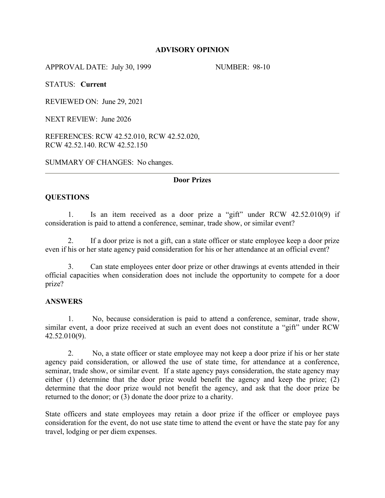## **ADVISORY OPINION**

APPROVAL DATE: July 30, 1999 NUMBER: 98-10

STATUS: **Current**

REVIEWED ON: June 29, 2021

NEXT REVIEW: June 2026

REFERENCES: RCW 42.52.010, RCW 42.52.020, RCW 42.52.140. RCW 42.52.150

SUMMARY OF CHANGES: No changes.

## **Door Prizes**

# **QUESTIONS**

1. Is an item received as a door prize a "gift" under RCW 42.52.010(9) if consideration is paid to attend a conference, seminar, trade show, or similar event?

2. If a door prize is not a gift, can a state officer or state employee keep a door prize even if his or her state agency paid consideration for his or her attendance at an official event?

3. Can state employees enter door prize or other drawings at events attended in their official capacities when consideration does not include the opportunity to compete for a door prize?

## **ANSWERS**

1. No, because consideration is paid to attend a conference, seminar, trade show, similar event, a door prize received at such an event does not constitute a "gift" under RCW 42.52.010(9).

2. No, a state officer or state employee may not keep a door prize if his or her state agency paid consideration, or allowed the use of state time, for attendance at a conference, seminar, trade show, or similar event*.* If a state agency pays consideration, the state agency may either (1) determine that the door prize would benefit the agency and keep the prize; (2) determine that the door prize would not benefit the agency, and ask that the door prize be returned to the donor; or (3) donate the door prize to a charity.

State officers and state employees may retain a door prize if the officer or employee pays consideration for the event, do not use state time to attend the event or have the state pay for any travel, lodging or per diem expenses.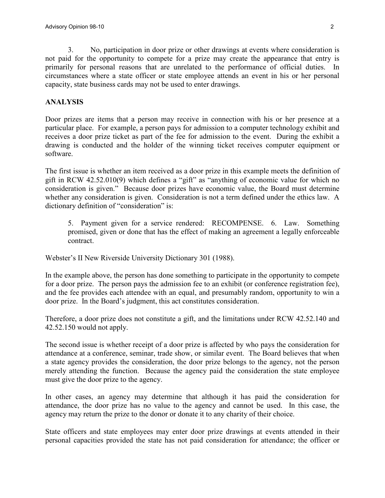3. No, participation in door prize or other drawings at events where consideration is not paid for the opportunity to compete for a prize may create the appearance that entry is primarily for personal reasons that are unrelated to the performance of official duties. In circumstances where a state officer or state employee attends an event in his or her personal capacity, state business cards may not be used to enter drawings.

#### **ANALYSIS**

Door prizes are items that a person may receive in connection with his or her presence at a particular place. For example, a person pays for admission to a computer technology exhibit and receives a door prize ticket as part of the fee for admission to the event. During the exhibit a drawing is conducted and the holder of the winning ticket receives computer equipment or software.

The first issue is whether an item received as a door prize in this example meets the definition of gift in RCW 42.52.010(9) which defines a "gift" as "anything of economic value for which no consideration is given." Because door prizes have economic value, the Board must determine whether any consideration is given. Consideration is not a term defined under the ethics law. A dictionary definition of "consideration" is:

5. Payment given for a service rendered: RECOMPENSE. 6. Law. Something promised, given or done that has the effect of making an agreement a legally enforceable contract.

Webster's II New Riverside University Dictionary 301 (1988).

In the example above, the person has done something to participate in the opportunity to compete for a door prize. The person pays the admission fee to an exhibit (or conference registration fee), and the fee provides each attendee with an equal, and presumably random, opportunity to win a door prize. In the Board's judgment, this act constitutes consideration.

Therefore, a door prize does not constitute a gift, and the limitations under RCW 42.52.140 and 42.52.150 would not apply.

The second issue is whether receipt of a door prize is affected by who pays the consideration for attendance at a conference, seminar, trade show, or similar event. The Board believes that when a state agency provides the consideration, the door prize belongs to the agency, not the person merely attending the function. Because the agency paid the consideration the state employee must give the door prize to the agency.

In other cases, an agency may determine that although it has paid the consideration for attendance, the door prize has no value to the agency and cannot be used. In this case, the agency may return the prize to the donor or donate it to any charity of their choice.

State officers and state employees may enter door prize drawings at events attended in their personal capacities provided the state has not paid consideration for attendance; the officer or